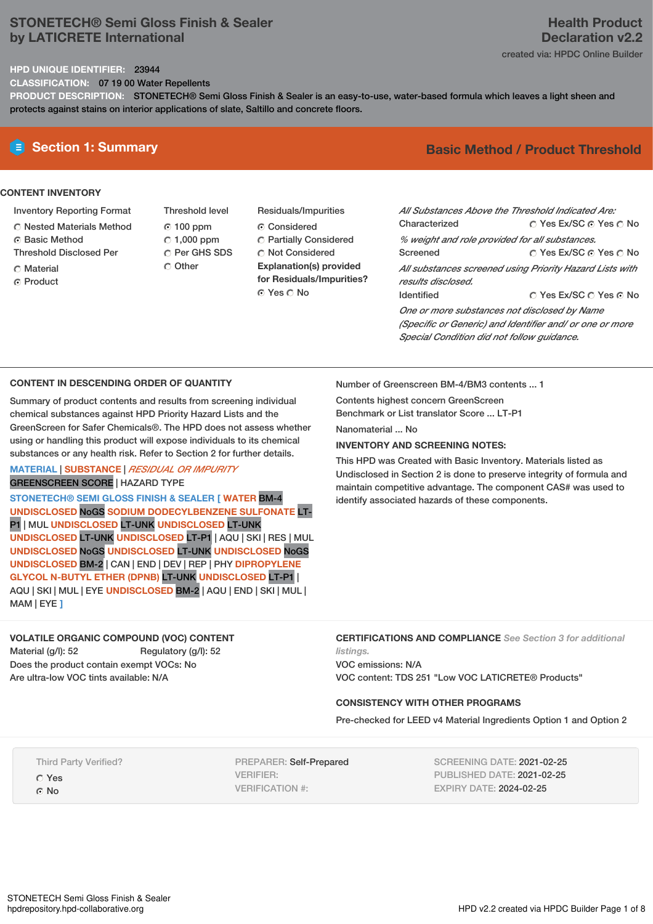# **STONETECH® Semi Gloss Finish & Sealer by LATICRETE International**

# **Health Product Declaration v2.2**

created via: HPDC Online Builder

#### **HPD UNIQUE IDENTIFIER:** 23944

**CLASSIFICATION:** 07 19 00 Water Repellents

**PRODUCT DESCRIPTION:** STONETECH® Semi Gloss Finish & Sealer is an easy-to-use, water-based formula which leaves a light sheen and protects against stains on interior applications of slate, Saltillo and concrete floors.

## **CONTENT INVENTORY**

- Inventory Reporting Format
- Nested Materials Method
- **6** Basic Method
- Threshold Disclosed Per
- C Material
- **C** Product
- Threshold level 100 ppm  $C$  1,000 ppm C Per GHS SDS Other
- Residuals/Impurities Considered Partially Considered **C** Not Considered **Explanation(s) provided for Residuals/Impurities?** ⊙ Yes O No

# **E** Section 1: Summary **Basic** Method / Product Threshold

| All Substances Above the Threshold Indicated Are: |                                                                                                                                                                                                                                                                                                                    |
|---------------------------------------------------|--------------------------------------------------------------------------------------------------------------------------------------------------------------------------------------------------------------------------------------------------------------------------------------------------------------------|
| Characterized                                     | ○ Yes Ex/SC ⊙ Yes ○ No                                                                                                                                                                                                                                                                                             |
| % weight and role provided for all substances.    |                                                                                                                                                                                                                                                                                                                    |
| Screened                                          | ○ Yes Ex/SC ⊙ Yes ○ No                                                                                                                                                                                                                                                                                             |
|                                                   | All substances screened using Priority Hazard Lists with                                                                                                                                                                                                                                                           |
| results disclosed.                                |                                                                                                                                                                                                                                                                                                                    |
| Identified                                        | ∩ Yes Ex/SC ∩ Yes ∩ No                                                                                                                                                                                                                                                                                             |
| One or more substances not disclosed by Name      |                                                                                                                                                                                                                                                                                                                    |
|                                                   | $\sqrt{2}$ $\sqrt{2}$ $\sqrt{2}$ $\sqrt{2}$ $\sqrt{2}$ $\sqrt{2}$ $\sqrt{2}$ $\sqrt{2}$ $\sqrt{2}$ $\sqrt{2}$ $\sqrt{2}$ $\sqrt{2}$ $\sqrt{2}$ $\sqrt{2}$ $\sqrt{2}$ $\sqrt{2}$ $\sqrt{2}$ $\sqrt{2}$ $\sqrt{2}$ $\sqrt{2}$ $\sqrt{2}$ $\sqrt{2}$ $\sqrt{2}$ $\sqrt{2}$ $\sqrt{2}$ $\sqrt{2}$ $\sqrt{2}$ $\sqrt{2$ |

*(Specific or Generic) and Identifier and/ or one or more Special Condition did not follow guidance.*

# **CONTENT IN DESCENDING ORDER OF QUANTITY**

Summary of product contents and results from screening individual chemical substances against HPD Priority Hazard Lists and the GreenScreen for Safer Chemicals®. The HPD does not assess whether using or handling this product will expose individuals to its chemical substances or any health risk. Refer to Section 2 for further details.

## **MATERIAL** | **SUBSTANCE** | *RESIDUAL OR IMPURITY* GREENSCREEN SCORE | HAZARD TYPE

**STONETECH® SEMI GLOSS FINISH & SEALER [ WATER** BM-4 **UNDISCLOSED** NoGS **SODIUM DODECYLBENZENE SULFONATE** LT-P1 | MUL **UNDISCLOSED** LT-UNK **UNDISCLOSED** LT-UNK **UNDISCLOSED** LT-UNK **UNDISCLOSED** LT-P1 | AQU | SKI | RES | MUL **UNDISCLOSED** NoGS **UNDISCLOSED** LT-UNK **UNDISCLOSED** NoGS **UNDISCLOSED** BM-2 | CAN | END | DEV | REP | PHY **DIPROPYLENE GLYCOL N-BUTYL ETHER (DPNB)** LT-UNK **UNDISCLOSED** LT-P1 | AQU | SKI | MUL | EYE **UNDISCLOSED** BM-2 | AQU | END | SKI | MUL | MAM | EYE **]**

# **VOLATILE ORGANIC COMPOUND (VOC) CONTENT** Material (g/l): 52 Regulatory (g/l): 52

Does the product contain exempt VOCs: No Are ultra-low VOC tints available: N/A

Number of Greenscreen BM-4/BM3 contents ... 1

Contents highest concern GreenScreen Benchmark or List translator Score ... LT-P1

Nanomaterial No.

## **INVENTORY AND SCREENING NOTES:**

This HPD was Created with Basic Inventory. Materials listed as Undisclosed in Section 2 is done to preserve integrity of formula and maintain competitive advantage. The component CAS# was used to identify associated hazards of these components.

#### **CERTIFICATIONS AND COMPLIANCE** *See Section 3 for additional listings.*

VOC emissions: N/A VOC content: TDS 251 "Low VOC LATICRETE® Products"

# **CONSISTENCY WITH OTHER PROGRAMS**

Pre-checked for LEED v4 Material Ingredients Option 1 and Option 2

Third Party Verified?

- Yes
- © No

PREPARER: Self-Prepared VERIFIER: VERIFICATION #:

SCREENING DATE: 2021-02-25 PUBLISHED DATE: 2021-02-25 EXPIRY DATE: 2024-02-25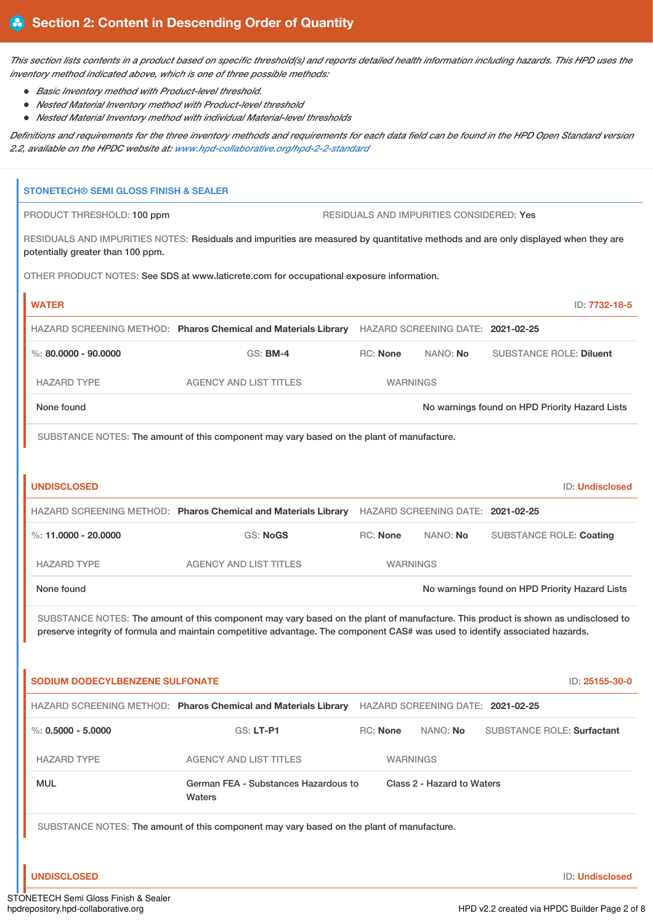This section lists contents in a product based on specific threshold(s) and reports detailed health information including hazards. This HPD uses the *inventory method indicated above, which is one of three possible methods:*

- *Basic Inventory method with Product-level threshold.*
- *Nested Material Inventory method with Product-level threshold*
- *Nested Material Inventory method with individual Material-level thresholds*

Definitions and requirements for the three inventory methods and requirements for each data field can be found in the HPD Open Standard version *2.2, available on the HPDC website at: [www.hpd-collaborative.org/hpd-2-2-standard](https://www.hpd-collaborative.org/hpd-2-2-standard)*

| <b>STONETECH® SEMI GLOSS FINISH &amp; SEALER</b> |                                                                                                                                    |          |                                          |                                                |                        |
|--------------------------------------------------|------------------------------------------------------------------------------------------------------------------------------------|----------|------------------------------------------|------------------------------------------------|------------------------|
| PRODUCT THRESHOLD: 100 ppm                       |                                                                                                                                    |          | RESIDUALS AND IMPURITIES CONSIDERED: Yes |                                                |                        |
| potentially greater than 100 ppm.                | RESIDUALS AND IMPURITIES NOTES: Residuals and impurities are measured by quantitative methods and are only displayed when they are |          |                                          |                                                |                        |
|                                                  | OTHER PRODUCT NOTES: See SDS at www.laticrete.com for occupational exposure information.                                           |          |                                          |                                                |                        |
| <b>WATER</b>                                     |                                                                                                                                    |          |                                          |                                                | ID: 7732-18-5          |
|                                                  | HAZARD SCREENING METHOD: Pharos Chemical and Materials Library HAZARD SCREENING DATE: 2021-02-25                                   |          |                                          |                                                |                        |
| %: 80,0000 - 90,0000                             | $GS:$ BM-4                                                                                                                         | RC: None | NANO: No                                 | <b>SUBSTANCE ROLE: Diluent</b>                 |                        |
| <b>HAZARD TYPE</b>                               | <b>AGENCY AND LIST TITLES</b>                                                                                                      |          | <b>WARNINGS</b>                          |                                                |                        |
| None found                                       |                                                                                                                                    |          |                                          | No warnings found on HPD Priority Hazard Lists |                        |
|                                                  | SUBSTANCE NOTES: The amount of this component may vary based on the plant of manufacture.                                          |          |                                          |                                                |                        |
|                                                  |                                                                                                                                    |          |                                          |                                                |                        |
| <b>UNDISCLOSED</b>                               |                                                                                                                                    |          |                                          |                                                | <b>ID: Undisclosed</b> |
|                                                  | HAZARD SCREENING METHOD: Pharos Chemical and Materials Library                                                                     |          | HAZARD SCREENING DATE: 2021-02-25        |                                                |                        |
| %: 11.0000 - 20.0000                             | GS: NoGS                                                                                                                           | RC: None | NANO: No                                 | <b>SUBSTANCE ROLE: Coating</b>                 |                        |
| <b>HAZARD TYPE</b>                               | <b>AGENCY AND LIST TITLES</b>                                                                                                      |          | <b>WARNINGS</b>                          |                                                |                        |
| None found                                       |                                                                                                                                    |          |                                          | No warnings found on HPD Priority Hazard Lists |                        |
|                                                  | SUBSTANCE NOTES: The amount of this component may vary based on the plant of manufacture. This product is shown as undisclosed to  |          |                                          |                                                |                        |
|                                                  | preserve integrity of formula and maintain competitive advantage. The component CAS# was used to identify associated hazards.      |          |                                          |                                                |                        |
|                                                  |                                                                                                                                    |          |                                          |                                                |                        |
| <b>SODIUM DODECYLBENZENE SULFONATE</b>           |                                                                                                                                    |          |                                          |                                                | ID: 25155-30-0         |
|                                                  | HAZARD SCREENING METHOD: Pharos Chemical and Materials Library HAZARD SCREENING DATE: 2021-02-25                                   |          |                                          |                                                |                        |
| $\%$ : 0.5000 - 5.0000                           | GS: LT-P1                                                                                                                          | RC: None | NANO: No                                 | <b>SUBSTANCE ROLE: Surfactant</b>              |                        |
| <b>HAZARD TYPE</b>                               | <b>AGENCY AND LIST TITLES</b>                                                                                                      |          | <b>WARNINGS</b>                          |                                                |                        |
| <b>MUL</b>                                       | German FEA - Substances Hazardous to<br>Waters                                                                                     |          | Class 2 - Hazard to Waters               |                                                |                        |
|                                                  | SUBSTANCE NOTES: The amount of this component may vary based on the plant of manufacture.                                          |          |                                          |                                                |                        |
|                                                  |                                                                                                                                    |          |                                          |                                                |                        |
| <b>UNDISCLOSED</b>                               |                                                                                                                                    |          |                                          |                                                | ID: Undisclosed        |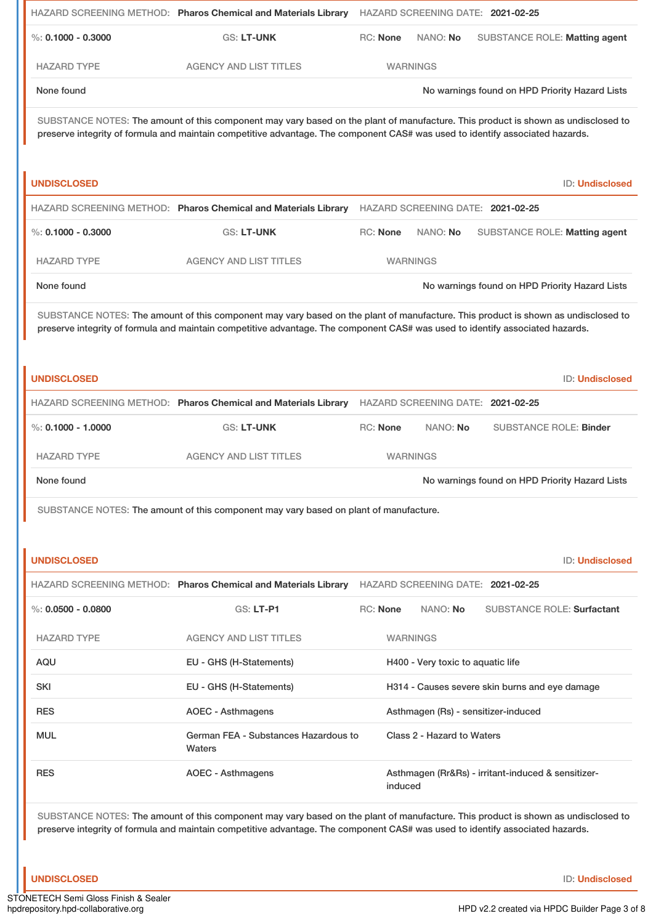|                        |                                                                                                                                                                                                                                                                    | HAZARD SCREENING METHOD: Pharos Chemical and Materials Library HAZARD SCREENING DATE: 2021-02-25 |                 |                                     |                                                    |                                                |
|------------------------|--------------------------------------------------------------------------------------------------------------------------------------------------------------------------------------------------------------------------------------------------------------------|--------------------------------------------------------------------------------------------------|-----------------|-------------------------------------|----------------------------------------------------|------------------------------------------------|
| $\%$ : 0.1000 - 0.3000 | <b>GS: LT-UNK</b>                                                                                                                                                                                                                                                  | RC: None                                                                                         |                 | NANO: No                            |                                                    | SUBSTANCE ROLE: Matting agent                  |
| <b>HAZARD TYPE</b>     | <b>AGENCY AND LIST TITLES</b>                                                                                                                                                                                                                                      |                                                                                                  | <b>WARNINGS</b> |                                     |                                                    |                                                |
| None found             |                                                                                                                                                                                                                                                                    |                                                                                                  |                 |                                     |                                                    | No warnings found on HPD Priority Hazard Lists |
|                        | SUBSTANCE NOTES: The amount of this component may vary based on the plant of manufacture. This product is shown as undisclosed to<br>preserve integrity of formula and maintain competitive advantage. The component CAS# was used to identify associated hazards. |                                                                                                  |                 |                                     |                                                    |                                                |
| <b>UNDISCLOSED</b>     |                                                                                                                                                                                                                                                                    |                                                                                                  |                 |                                     |                                                    | ID: Undisclosed                                |
|                        | HAZARD SCREENING METHOD: Pharos Chemical and Materials Library                                                                                                                                                                                                     |                                                                                                  |                 | HAZARD SCREENING DATE: 2021-02-25   |                                                    |                                                |
| %: $0.1000 - 0.3000$   | GS: LT-UNK                                                                                                                                                                                                                                                         | RC: None                                                                                         |                 | NANO: No                            |                                                    | SUBSTANCE ROLE: Matting agent                  |
| <b>HAZARD TYPE</b>     | <b>AGENCY AND LIST TITLES</b>                                                                                                                                                                                                                                      |                                                                                                  | <b>WARNINGS</b> |                                     |                                                    |                                                |
| None found             |                                                                                                                                                                                                                                                                    |                                                                                                  |                 |                                     |                                                    | No warnings found on HPD Priority Hazard Lists |
|                        | SUBSTANCE NOTES: The amount of this component may vary based on the plant of manufacture. This product is shown as undisclosed to<br>preserve integrity of formula and maintain competitive advantage. The component CAS# was used to identify associated hazards. |                                                                                                  |                 |                                     |                                                    |                                                |
| <b>UNDISCLOSED</b>     |                                                                                                                                                                                                                                                                    |                                                                                                  |                 |                                     |                                                    | ID: Undisclosed                                |
|                        | HAZARD SCREENING METHOD: Pharos Chemical and Materials Library                                                                                                                                                                                                     |                                                                                                  |                 | HAZARD SCREENING DATE: 2021-02-25   |                                                    |                                                |
| %: $0.1000 - 1.0000$   | <b>GS: LT-UNK</b>                                                                                                                                                                                                                                                  | RC: None                                                                                         |                 | NANO: No                            |                                                    | <b>SUBSTANCE ROLE: Binder</b>                  |
| <b>HAZARD TYPE</b>     | <b>AGENCY AND LIST TITLES</b>                                                                                                                                                                                                                                      |                                                                                                  | <b>WARNINGS</b> |                                     |                                                    |                                                |
| None found             |                                                                                                                                                                                                                                                                    |                                                                                                  |                 |                                     |                                                    | No warnings found on HPD Priority Hazard Lists |
|                        | SUBSTANCE NOTES: The amount of this component may vary based on plant of manufacture.                                                                                                                                                                              |                                                                                                  |                 |                                     |                                                    |                                                |
|                        |                                                                                                                                                                                                                                                                    |                                                                                                  |                 |                                     |                                                    |                                                |
| <b>UNDISCLOSED</b>     |                                                                                                                                                                                                                                                                    |                                                                                                  |                 |                                     |                                                    | ID: Undisclosed                                |
|                        | HAZARD SCREENING METHOD: Pharos Chemical and Materials Library                                                                                                                                                                                                     |                                                                                                  |                 | HAZARD SCREENING DATE: 2021-02-25   |                                                    |                                                |
| $\%$ : 0.0500 - 0.0800 | GS: LT-P1                                                                                                                                                                                                                                                          | <b>RC: None</b>                                                                                  |                 | NANO: No                            |                                                    | <b>SUBSTANCE ROLE: Surfactant</b>              |
| <b>HAZARD TYPE</b>     | <b>AGENCY AND LIST TITLES</b>                                                                                                                                                                                                                                      |                                                                                                  | <b>WARNINGS</b> |                                     |                                                    |                                                |
| AQU                    | EU - GHS (H-Statements)                                                                                                                                                                                                                                            | H400 - Very toxic to aquatic life                                                                |                 |                                     |                                                    |                                                |
| <b>SKI</b>             | EU - GHS (H-Statements)                                                                                                                                                                                                                                            | H314 - Causes severe skin burns and eye damage                                                   |                 |                                     |                                                    |                                                |
| <b>RES</b>             | <b>AOEC - Asthmagens</b>                                                                                                                                                                                                                                           |                                                                                                  |                 | Asthmagen (Rs) - sensitizer-induced |                                                    |                                                |
| MUL                    | German FEA - Substances Hazardous to<br>Waters                                                                                                                                                                                                                     |                                                                                                  |                 | Class 2 - Hazard to Waters          |                                                    |                                                |
| <b>RES</b>             | <b>AOEC - Asthmagens</b>                                                                                                                                                                                                                                           |                                                                                                  | induced         |                                     | Asthmagen (Rr&Rs) - irritant-induced & sensitizer- |                                                |
|                        |                                                                                                                                                                                                                                                                    |                                                                                                  |                 |                                     |                                                    |                                                |

SUBSTANCE NOTES: The amount of this component may vary based on the plant of manufacture. This product is shown as undisclosed to preserve integrity of formula and maintain competitive advantage. The component CAS# was used to identify associated hazards.

**UNDISCLOSED** ID: **Undisclosed**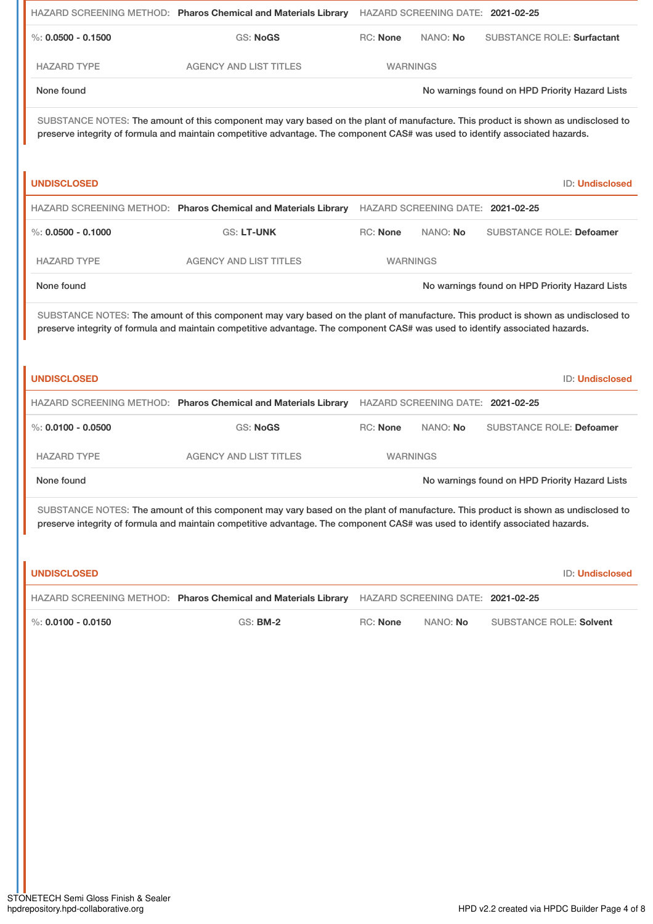|                        | HAZARD SCREENING METHOD: Pharos Chemical and Materials Library HAZARD SCREENING DATE: 2021-02-25                                                                                                                                                                   |                 |                                   |                                                |                 |
|------------------------|--------------------------------------------------------------------------------------------------------------------------------------------------------------------------------------------------------------------------------------------------------------------|-----------------|-----------------------------------|------------------------------------------------|-----------------|
| $\%$ : 0.0500 - 0.1500 | <b>GS: NoGS</b>                                                                                                                                                                                                                                                    | <b>RC: None</b> | NANO: No                          | <b>SUBSTANCE ROLE: Surfactant</b>              |                 |
| <b>HAZARD TYPE</b>     | <b>AGENCY AND LIST TITLES</b>                                                                                                                                                                                                                                      | <b>WARNINGS</b> |                                   |                                                |                 |
| None found             |                                                                                                                                                                                                                                                                    |                 |                                   | No warnings found on HPD Priority Hazard Lists |                 |
|                        | SUBSTANCE NOTES: The amount of this component may vary based on the plant of manufacture. This product is shown as undisclosed to<br>preserve integrity of formula and maintain competitive advantage. The component CAS# was used to identify associated hazards. |                 |                                   |                                                |                 |
| <b>UNDISCLOSED</b>     |                                                                                                                                                                                                                                                                    |                 |                                   |                                                | ID: Undisclosed |
|                        | HAZARD SCREENING METHOD: Pharos Chemical and Materials Library                                                                                                                                                                                                     |                 | HAZARD SCREENING DATE: 2021-02-25 |                                                |                 |
| $\%$ : 0.0500 - 0.1000 | <b>GS: LT-UNK</b>                                                                                                                                                                                                                                                  | <b>RC: None</b> | NANO: No                          | <b>SUBSTANCE ROLE: Defoamer</b>                |                 |
| <b>HAZARD TYPE</b>     | <b>AGENCY AND LIST TITLES</b>                                                                                                                                                                                                                                      | <b>WARNINGS</b> |                                   |                                                |                 |
| None found             |                                                                                                                                                                                                                                                                    |                 |                                   | No warnings found on HPD Priority Hazard Lists |                 |
|                        | SUBSTANCE NOTES: The amount of this component may vary based on the plant of manufacture. This product is shown as undisclosed to<br>preserve integrity of formula and maintain competitive advantage. The component CAS# was used to identify associated hazards. |                 |                                   |                                                |                 |
| <b>UNDISCLOSED</b>     |                                                                                                                                                                                                                                                                    |                 |                                   |                                                | ID: Undisclosed |
|                        | HAZARD SCREENING METHOD: Pharos Chemical and Materials Library                                                                                                                                                                                                     |                 | HAZARD SCREENING DATE: 2021-02-25 |                                                |                 |
| $\%$ : 0.0100 - 0.0500 | <b>GS: NoGS</b>                                                                                                                                                                                                                                                    | <b>RC: None</b> | NANO: No                          | <b>SUBSTANCE ROLE: Defoamer</b>                |                 |
| <b>HAZARD TYPE</b>     | <b>AGENCY AND LIST TITLES</b>                                                                                                                                                                                                                                      | <b>WARNINGS</b> |                                   |                                                |                 |
| None found             |                                                                                                                                                                                                                                                                    |                 |                                   | No warnings found on HPD Priority Hazard Lists |                 |
|                        | SUBSTANCE NOTES: The amount of this component may vary based on the plant of manufacture. This product is shown as undisclosed to<br>preserve integrity of formula and maintain competitive advantage. The component CAS# was used to identify associated hazards. |                 |                                   |                                                |                 |
| <b>UNDISCLOSED</b>     |                                                                                                                                                                                                                                                                    |                 |                                   |                                                | ID: Undisclosed |
|                        | HAZARD SCREENING METHOD: Pharos Chemical and Materials Library                                                                                                                                                                                                     |                 | HAZARD SCREENING DATE: 2021-02-25 |                                                |                 |
| %: $0.0100 - 0.0150$   | <b>GS: BM-2</b>                                                                                                                                                                                                                                                    | RC: None        | NANO: No                          | <b>SUBSTANCE ROLE: Solvent</b>                 |                 |
|                        |                                                                                                                                                                                                                                                                    |                 |                                   |                                                |                 |
|                        |                                                                                                                                                                                                                                                                    |                 |                                   |                                                |                 |
|                        |                                                                                                                                                                                                                                                                    |                 |                                   |                                                |                 |
|                        |                                                                                                                                                                                                                                                                    |                 |                                   |                                                |                 |
|                        |                                                                                                                                                                                                                                                                    |                 |                                   |                                                |                 |
|                        |                                                                                                                                                                                                                                                                    |                 |                                   |                                                |                 |
|                        |                                                                                                                                                                                                                                                                    |                 |                                   |                                                |                 |
|                        |                                                                                                                                                                                                                                                                    |                 |                                   |                                                |                 |
|                        |                                                                                                                                                                                                                                                                    |                 |                                   |                                                |                 |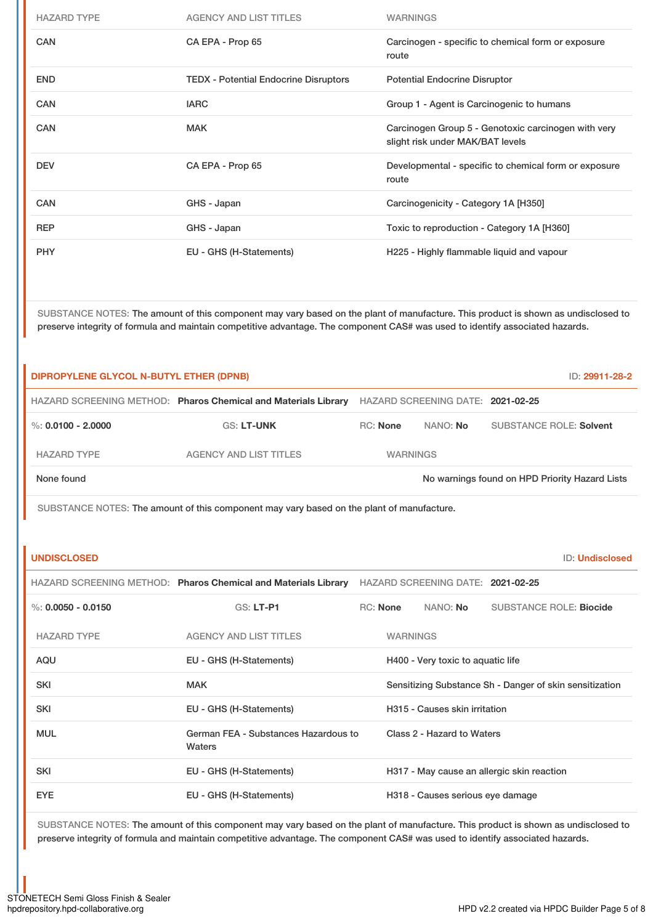| <b>HAZARD TYPE</b> | <b>AGENCY AND LIST TITLES</b>                | <b>WARNINGS</b>                                                                         |
|--------------------|----------------------------------------------|-----------------------------------------------------------------------------------------|
| <b>CAN</b>         | CA EPA - Prop 65                             | Carcinogen - specific to chemical form or exposure<br>route                             |
| <b>END</b>         | <b>TEDX - Potential Endocrine Disruptors</b> | <b>Potential Endocrine Disruptor</b>                                                    |
| <b>CAN</b>         | <b>IARC</b>                                  | Group 1 - Agent is Carcinogenic to humans                                               |
| <b>CAN</b>         | <b>MAK</b>                                   | Carcinogen Group 5 - Genotoxic carcinogen with very<br>slight risk under MAK/BAT levels |
| <b>DEV</b>         | CA EPA - Prop 65                             | Developmental - specific to chemical form or exposure<br>route                          |
| <b>CAN</b>         | GHS - Japan                                  | Carcinogenicity - Category 1A [H350]                                                    |
| <b>REP</b>         | GHS - Japan                                  | Toxic to reproduction - Category 1A [H360]                                              |
| <b>PHY</b>         | EU - GHS (H-Statements)                      | H225 - Highly flammable liquid and vapour                                               |

SUBSTANCE NOTES: The amount of this component may vary based on the plant of manufacture. This product is shown as undisclosed to preserve integrity of formula and maintain competitive advantage. The component CAS# was used to identify associated hazards.

| DIPROPYLENE GLYCOL N-BUTYL ETHER (DPNB) |                                                                                                  |                 |                 |                                   | ID: 29911-28-2                                          |
|-----------------------------------------|--------------------------------------------------------------------------------------------------|-----------------|-----------------|-----------------------------------|---------------------------------------------------------|
|                                         | HAZARD SCREENING METHOD: Pharos Chemical and Materials Library HAZARD SCREENING DATE: 2021-02-25 |                 |                 |                                   |                                                         |
| %: $0.0100 - 2.0000$                    | <b>GS: LT-UNK</b>                                                                                | <b>RC: None</b> |                 | NANO: No                          | <b>SUBSTANCE ROLE: Solvent</b>                          |
| <b>HAZARD TYPE</b>                      | <b>AGENCY AND LIST TITLES</b>                                                                    |                 | <b>WARNINGS</b> |                                   |                                                         |
| None found                              |                                                                                                  |                 |                 |                                   | No warnings found on HPD Priority Hazard Lists          |
|                                         | SUBSTANCE NOTES: The amount of this component may vary based on the plant of manufacture.        |                 |                 |                                   |                                                         |
|                                         |                                                                                                  |                 |                 |                                   |                                                         |
| <b>UNDISCLOSED</b>                      |                                                                                                  |                 |                 |                                   | <b>ID: Undisclosed</b>                                  |
|                                         | HAZARD SCREENING METHOD: Pharos Chemical and Materials Library HAZARD SCREENING DATE: 2021-02-25 |                 |                 |                                   |                                                         |
| $\%$ : 0.0050 - 0.0150                  | GS: LT-P1                                                                                        | RC: None        |                 | NANO: No                          | <b>SUBSTANCE ROLE: Biocide</b>                          |
| <b>HAZARD TYPE</b>                      | <b>AGENCY AND LIST TITLES</b>                                                                    |                 | <b>WARNINGS</b> |                                   |                                                         |
| <b>AQU</b>                              | EU - GHS (H-Statements)                                                                          |                 |                 | H400 - Very toxic to aquatic life |                                                         |
| <b>SKI</b>                              | <b>MAK</b>                                                                                       |                 |                 |                                   | Sensitizing Substance Sh - Danger of skin sensitization |
| <b>SKI</b>                              | EU - GHS (H-Statements)                                                                          |                 |                 | H315 - Causes skin irritation     |                                                         |
| <b>MUL</b>                              | German FEA - Substances Hazardous to<br>Waters                                                   |                 |                 | Class 2 - Hazard to Waters        |                                                         |
| <b>SKI</b>                              | EU - GHS (H-Statements)                                                                          |                 |                 |                                   | H317 - May cause an allergic skin reaction              |
| <b>EYE</b>                              | EU - GHS (H-Statements)                                                                          |                 |                 | H318 - Causes serious eye damage  |                                                         |

SUBSTANCE NOTES: The amount of this component may vary based on the plant of manufacture. This product is shown as undisclosed to preserve integrity of formula and maintain competitive advantage. The component CAS# was used to identify associated hazards.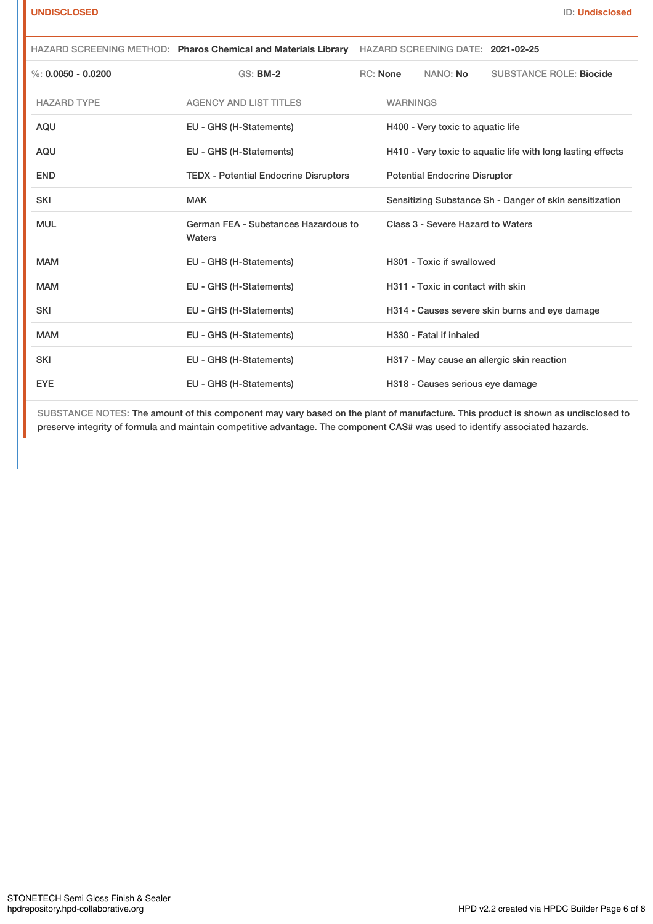|                      | HAZARD SCREENING METHOD: Pharos Chemical and Materials Library HAZARD SCREENING DATE: 2021-02-25 |                 |                                      |                                                             |
|----------------------|--------------------------------------------------------------------------------------------------|-----------------|--------------------------------------|-------------------------------------------------------------|
| %: $0.0050 - 0.0200$ | <b>GS: BM-2</b>                                                                                  | <b>RC: None</b> | NANO: No                             | <b>SUBSTANCE ROLE: Biocide</b>                              |
| <b>HAZARD TYPE</b>   | <b>AGENCY AND LIST TITLES</b>                                                                    | <b>WARNINGS</b> |                                      |                                                             |
| <b>AQU</b>           | EU - GHS (H-Statements)                                                                          |                 | H400 - Very toxic to aquatic life    |                                                             |
| <b>AQU</b>           | EU - GHS (H-Statements)                                                                          |                 |                                      | H410 - Very toxic to aquatic life with long lasting effects |
| <b>END</b>           | <b>TEDX - Potential Endocrine Disruptors</b>                                                     |                 | <b>Potential Endocrine Disruptor</b> |                                                             |
| <b>SKI</b>           | <b>MAK</b>                                                                                       |                 |                                      | Sensitizing Substance Sh - Danger of skin sensitization     |
| <b>MUL</b>           | German FEA - Substances Hazardous to<br>Waters                                                   |                 | Class 3 - Severe Hazard to Waters    |                                                             |
| <b>MAM</b>           | EU - GHS (H-Statements)                                                                          |                 | H301 - Toxic if swallowed            |                                                             |
| <b>MAM</b>           | EU - GHS (H-Statements)                                                                          |                 | H311 - Toxic in contact with skin    |                                                             |
| <b>SKI</b>           | EU - GHS (H-Statements)                                                                          |                 |                                      | H314 - Causes severe skin burns and eye damage              |
| <b>MAM</b>           | EU - GHS (H-Statements)                                                                          |                 | H330 - Fatal if inhaled              |                                                             |
| <b>SKI</b>           | EU - GHS (H-Statements)                                                                          |                 |                                      | H317 - May cause an allergic skin reaction                  |
| <b>EYE</b>           | EU - GHS (H-Statements)                                                                          |                 | H318 - Causes serious eye damage     |                                                             |

SUBSTANCE NOTES: The amount of this component may vary based on the plant of manufacture. This product is shown as undisclosed to preserve integrity of formula and maintain competitive advantage. The component CAS# was used to identify associated hazards.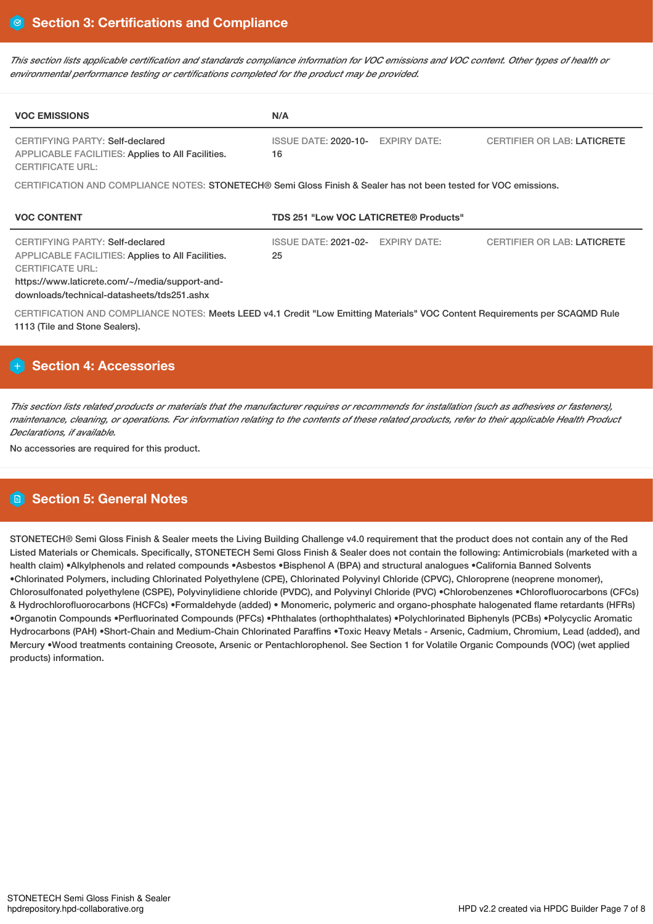This section lists applicable certification and standards compliance information for VOC emissions and VOC content. Other types of health or *environmental performance testing or certifications completed for the product may be provided.*

| <b>VOC EMISSIONS</b>                                                                                                                                                                                                          | N/A                                                                                                                          |
|-------------------------------------------------------------------------------------------------------------------------------------------------------------------------------------------------------------------------------|------------------------------------------------------------------------------------------------------------------------------|
| CERTIFYING PARTY: Self-declared<br><b>APPLICABLE FACILITIES: Applies to All Facilities.</b><br><b>CERTIFICATE URL:</b>                                                                                                        | <b>EXPIRY DATE:</b><br><b>ISSUE DATE: 2020-10-</b><br><b>CERTIFIER OR LAB: LATICRETE</b><br>16                               |
|                                                                                                                                                                                                                               | CERTIFICATION AND COMPLIANCE NOTES: STONETECH® Semi Gloss Finish & Sealer has not been tested for VOC emissions.             |
| <b>VOC CONTENT</b>                                                                                                                                                                                                            | TDS 251 "Low VOC LATICRETE® Products"                                                                                        |
| <b>CERTIFYING PARTY: Self-declared</b><br><b>APPLICABLE FACILITIES: Applies to All Facilities.</b><br><b>CERTIFICATE URL:</b><br>https://www.laticrete.com/~/media/support-and-<br>downloads/technical-datasheets/tds251.ashx | <b>ISSUE DATE: 2021-02-</b><br><b>EXPIRY DATE:</b><br><b>CERTIFIER OR LAB: LATICRETE</b><br>25                               |
|                                                                                                                                                                                                                               | CERTIFICATION AND COMPLIANCE NOTES: Meets LEED v4.1 Credit "Low Emitting Materials" VOC Content Requirements per SCAQMD Rule |

# **Section 4: Accessories**

This section lists related products or materials that the manufacturer requires or recommends for installation (such as adhesives or fasteners), maintenance, cleaning, or operations. For information relating to the contents of these related products, refer to their applicable Health Product *Declarations, if available.*

No accessories are required for this product.

# **Section 5: General Notes**

STONETECH® Semi Gloss Finish & Sealer meets the Living Building Challenge v4.0 requirement that the product does not contain any of the Red Listed Materials or Chemicals. Specifically, STONETECH Semi Gloss Finish & Sealer does not contain the following: Antimicrobials (marketed with a health claim) •Alkylphenols and related compounds •Asbestos •Bisphenol A (BPA) and structural analogues •California Banned Solvents •Chlorinated Polymers, including Chlorinated Polyethylene (CPE), Chlorinated Polyvinyl Chloride (CPVC), Chloroprene (neoprene monomer), Chlorosulfonated polyethylene (CSPE), Polyvinylidiene chloride (PVDC), and Polyvinyl Chloride (PVC) •Chlorobenzenes •Chlorofluorocarbons (CFCs) & Hydrochlorofluorocarbons (HCFCs) •Formaldehyde (added) • Monomeric, polymeric and organo-phosphate halogenated flame retardants (HFRs) •Organotin Compounds •Perfluorinated Compounds (PFCs) •Phthalates (orthophthalates) •Polychlorinated Biphenyls (PCBs) •Polycyclic Aromatic Hydrocarbons (PAH) •Short-Chain and Medium-Chain Chlorinated Paraffins •Toxic Heavy Metals - Arsenic, Cadmium, Chromium, Lead (added), and Mercury •Wood treatments containing Creosote, Arsenic or Pentachlorophenol. See Section 1 for Volatile Organic Compounds (VOC) (wet applied products) information.